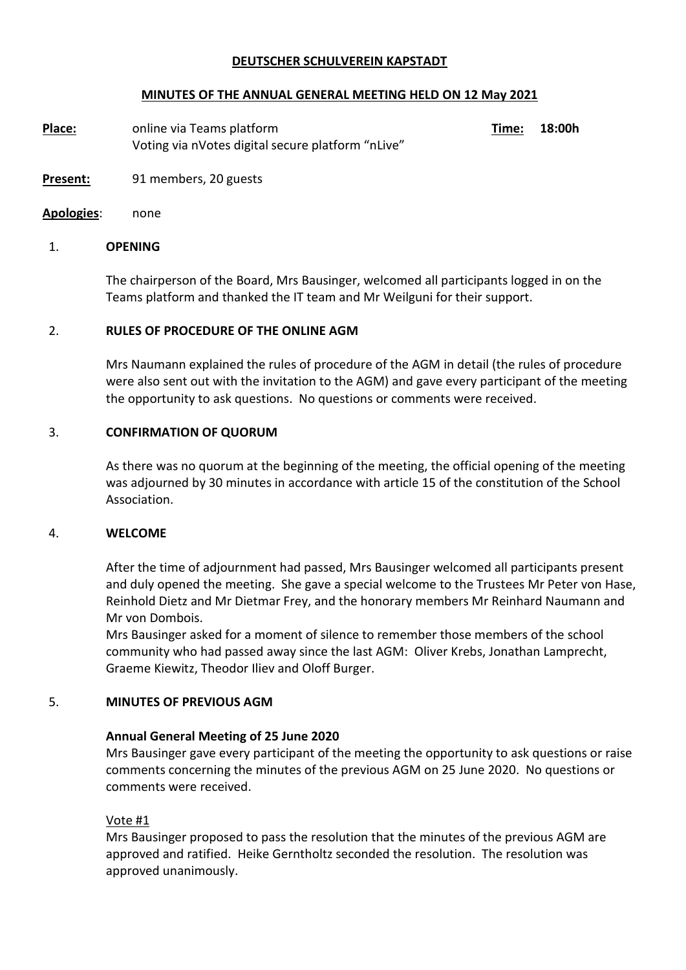### **DEUTSCHER SCHULVEREIN KAPSTADT**

### **MINUTES OF THE ANNUAL GENERAL MEETING HELD ON 12 May 2021**

**Place:** online via Teams platform **Time:** 18:00h Voting via nVotes digital secure platform "nLive"

- **Present:** 91 members, 20 guests
- **Apologies**: none

### 1. **OPENING**

The chairperson of the Board, Mrs Bausinger, welcomed all participants logged in on the Teams platform and thanked the IT team and Mr Weilguni for their support.

#### 2. **RULES OF PROCEDURE OF THE ONLINE AGM**

Mrs Naumann explained the rules of procedure of the AGM in detail (the rules of procedure were also sent out with the invitation to the AGM) and gave every participant of the meeting the opportunity to ask questions. No questions or comments were received.

#### 3. **CONFIRMATION OF QUORUM**

As there was no quorum at the beginning of the meeting, the official opening of the meeting was adjourned by 30 minutes in accordance with article 15 of the constitution of the School Association.

#### 4. **WELCOME**

After the time of adjournment had passed, Mrs Bausinger welcomed all participants present and duly opened the meeting. She gave a special welcome to the Trustees Mr Peter von Hase, Reinhold Dietz and Mr Dietmar Frey, and the honorary members Mr Reinhard Naumann and Mr von Dombois.

Mrs Bausinger asked for a moment of silence to remember those members of the school community who had passed away since the last AGM: Oliver Krebs, Jonathan Lamprecht, Graeme Kiewitz, Theodor Iliev and Oloff Burger.

### 5. **MINUTES OF PREVIOUS AGM**

### **Annual General Meeting of 25 June 2020**

Mrs Bausinger gave every participant of the meeting the opportunity to ask questions or raise comments concerning the minutes of the previous AGM on 25 June 2020. No questions or comments were received.

### Vote #1

Mrs Bausinger proposed to pass the resolution that the minutes of the previous AGM are approved and ratified. Heike Gerntholtz seconded the resolution. The resolution was approved unanimously.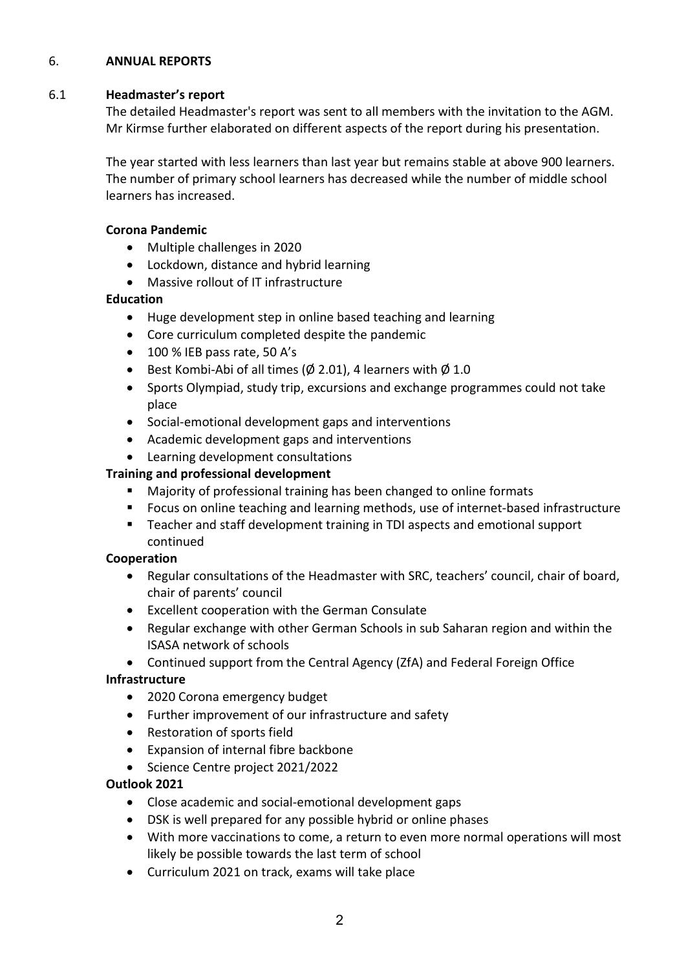### 6. **ANNUAL REPORTS**

### 6.1 **Headmaster's report**

The detailed Headmaster's report was sent to all members with the invitation to the AGM. Mr Kirmse further elaborated on different aspects of the report during his presentation.

The year started with less learners than last year but remains stable at above 900 learners. The number of primary school learners has decreased while the number of middle school learners has increased.

## **Corona Pandemic**

- Multiple challenges in 2020
- Lockdown, distance and hybrid learning
- Massive rollout of IT infrastructure

## **Education**

- Huge development step in online based teaching and learning
- Core curriculum completed despite the pandemic
- 100 % IEB pass rate, 50 A's
- Best Kombi-Abi of all times ( $\emptyset$  2.01), 4 learners with  $\emptyset$  1.0
- Sports Olympiad, study trip, excursions and exchange programmes could not take place
- Social-emotional development gaps and interventions
- Academic development gaps and interventions
- Learning development consultations

## **Training and professional development**

- Majority of professional training has been changed to online formats
- Focus on online teaching and learning methods, use of internet-based infrastructure
- Teacher and staff development training in TDI aspects and emotional support continued

### **Cooperation**

- Regular consultations of the Headmaster with SRC, teachers' council, chair of board, chair of parents' council
- Excellent cooperation with the German Consulate
- Regular exchange with other German Schools in sub Saharan region and within the ISASA network of schools
- Continued support from the Central Agency (ZfA) and Federal Foreign Office

### **Infrastructure**

- 2020 Corona emergency budget
- Further improvement of our infrastructure and safety
- Restoration of sports field
- Expansion of internal fibre backbone
- Science Centre project 2021/2022

### **Outlook 2021**

- Close academic and social-emotional development gaps
- DSK is well prepared for any possible hybrid or online phases
- With more vaccinations to come, a return to even more normal operations will most likely be possible towards the last term of school
- Curriculum 2021 on track, exams will take place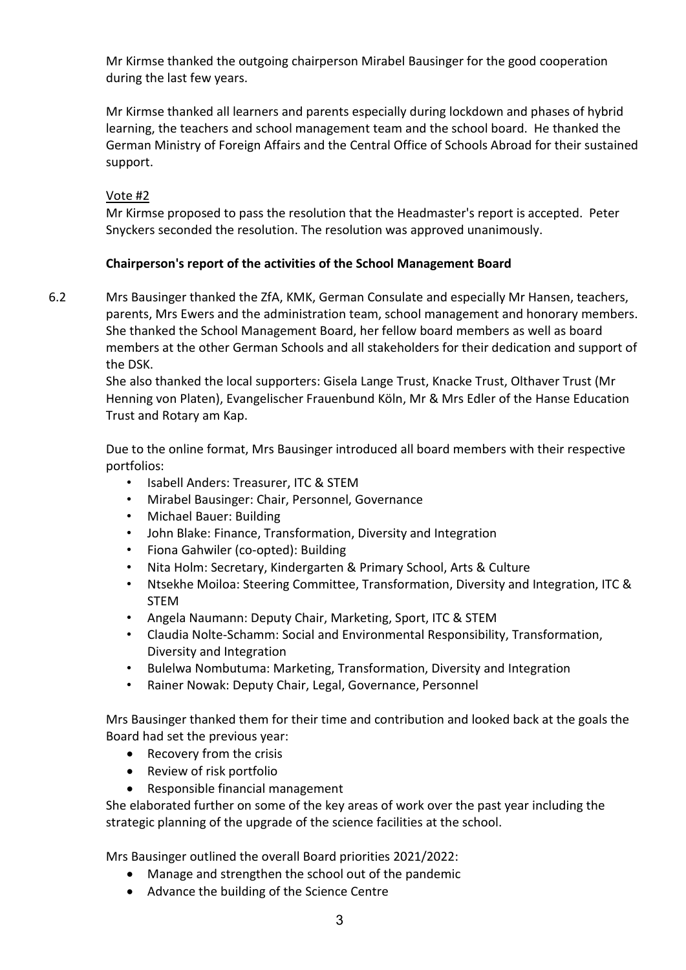Mr Kirmse thanked the outgoing chairperson Mirabel Bausinger for the good cooperation during the last few years.

Mr Kirmse thanked all learners and parents especially during lockdown and phases of hybrid learning, the teachers and school management team and the school board. He thanked the German Ministry of Foreign Affairs and the Central Office of Schools Abroad for their sustained support.

# Vote #2

Mr Kirmse proposed to pass the resolution that the Headmaster's report is accepted. Peter Snyckers seconded the resolution. The resolution was approved unanimously.

# **Chairperson's report of the activities of the School Management Board**

6.2

Mrs Bausinger thanked the ZfA, KMK, German Consulate and especially Mr Hansen, teachers, parents, Mrs Ewers and the administration team, school management and honorary members. She thanked the School Management Board, her fellow board members as well as board members at the other German Schools and all stakeholders for their dedication and support of the DSK.

She also thanked the local supporters: Gisela Lange Trust, Knacke Trust, Olthaver Trust (Mr Henning von Platen), Evangelischer Frauenbund Köln, Mr & Mrs Edler of the Hanse Education Trust and Rotary am Kap.

Due to the online format, Mrs Bausinger introduced all board members with their respective portfolios:

- Isabell Anders: Treasurer, ITC & STEM
- Mirabel Bausinger: Chair, Personnel, Governance
- Michael Bauer: Building
- John Blake: Finance, Transformation, Diversity and Integration
- Fiona Gahwiler (co-opted): Building
- Nita Holm: Secretary, Kindergarten & Primary School, Arts & Culture
- Ntsekhe Moiloa: Steering Committee, Transformation, Diversity and Integration, ITC & STEM
- Angela Naumann: Deputy Chair, Marketing, Sport, ITC & STEM
- Claudia Nolte-Schamm: Social and Environmental Responsibility, Transformation, Diversity and Integration
- Bulelwa Nombutuma: Marketing, Transformation, Diversity and Integration
- Rainer Nowak: Deputy Chair, Legal, Governance, Personnel

Mrs Bausinger thanked them for their time and contribution and looked back at the goals the Board had set the previous year:

- Recovery from the crisis
- Review of risk portfolio
- Responsible financial management

She elaborated further on some of the key areas of work over the past year including the strategic planning of the upgrade of the science facilities at the school.

Mrs Bausinger outlined the overall Board priorities 2021/2022:

- Manage and strengthen the school out of the pandemic
- Advance the building of the Science Centre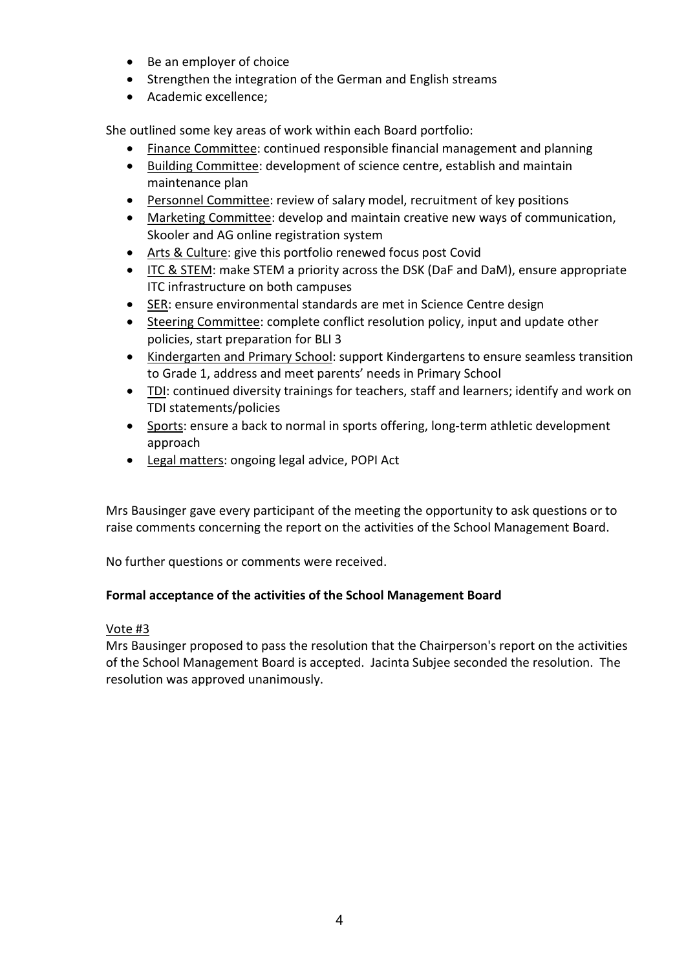- Be an employer of choice
- Strengthen the integration of the German and English streams
- Academic excellence;

She outlined some key areas of work within each Board portfolio:

- Finance Committee: continued responsible financial management and planning
- Building Committee: development of science centre, establish and maintain maintenance plan
- Personnel Committee: review of salary model, recruitment of key positions
- Marketing Committee: develop and maintain creative new ways of communication, Skooler and AG online registration system
- Arts & Culture: give this portfolio renewed focus post Covid
- ITC & STEM: make STEM a priority across the DSK (DaF and DaM), ensure appropriate ITC infrastructure on both campuses
- SER: ensure environmental standards are met in Science Centre design
- Steering Committee: complete conflict resolution policy, input and update other policies, start preparation for BLI 3
- Kindergarten and Primary School: support Kindergartens to ensure seamless transition to Grade 1, address and meet parents' needs in Primary School
- TDI: continued diversity trainings for teachers, staff and learners; identify and work on TDI statements/policies
- Sports: ensure a back to normal in sports offering, long-term athletic development approach
- Legal matters: ongoing legal advice, POPI Act

Mrs Bausinger gave every participant of the meeting the opportunity to ask questions or to raise comments concerning the report on the activities of the School Management Board.

No further questions or comments were received.

# **Formal acceptance of the activities of the School Management Board**

# Vote #3

Mrs Bausinger proposed to pass the resolution that the Chairperson's report on the activities of the School Management Board is accepted. Jacinta Subjee seconded the resolution. The resolution was approved unanimously.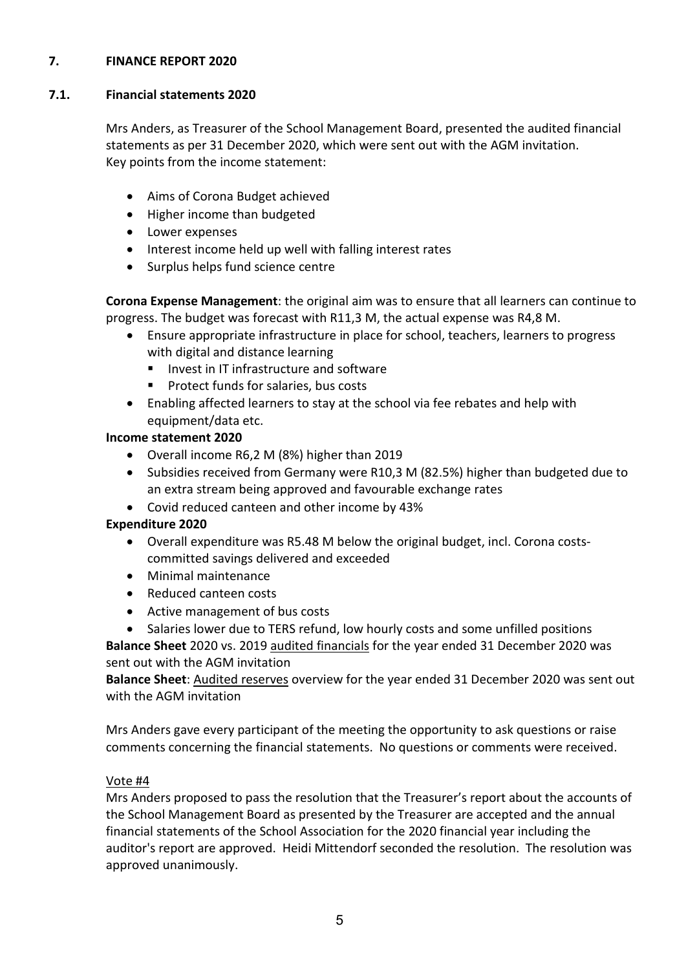### **7. FINANCE REPORT 2020**

#### **7.1. Financial statements 2020**

Mrs Anders, as Treasurer of the School Management Board, presented the audited financial statements as per 31 December 2020, which were sent out with the AGM invitation. Key points from the income statement:

- Aims of Corona Budget achieved
- Higher income than budgeted
- Lower expenses
- Interest income held up well with falling interest rates
- Surplus helps fund science centre

**Corona Expense Management**: the original aim was to ensure that all learners can continue to progress. The budget was forecast with R11,3 M, the actual expense was R4,8 M.

- Ensure appropriate infrastructure in place for school, teachers, learners to progress with digital and distance learning
	- $\blacksquare$  Invest in IT infrastructure and software
	- **Protect funds for salaries, bus costs**
- Enabling affected learners to stay at the school via fee rebates and help with equipment/data etc.

# **Income statement 2020**

- Overall income R6,2 M (8%) higher than 2019
- Subsidies received from Germany were R10,3 M (82.5%) higher than budgeted due to an extra stream being approved and favourable exchange rates
- Covid reduced canteen and other income by 43%

# **Expenditure 2020**

- Overall expenditure was R5.48 M below the original budget, incl. Corona costscommitted savings delivered and exceeded
- Minimal maintenance
- Reduced canteen costs
- Active management of bus costs
- Salaries lower due to TERS refund, low hourly costs and some unfilled positions

**Balance Sheet** 2020 vs. 2019 audited financials for the year ended 31 December 2020 was sent out with the AGM invitation

**Balance Sheet**: Audited reserves overview for the year ended 31 December 2020 was sent out with the AGM invitation

Mrs Anders gave every participant of the meeting the opportunity to ask questions or raise comments concerning the financial statements. No questions or comments were received.

# Vote #4

Mrs Anders proposed to pass the resolution that the Treasurer's report about the accounts of the School Management Board as presented by the Treasurer are accepted and the annual financial statements of the School Association for the 2020 financial year including the auditor's report are approved. Heidi Mittendorf seconded the resolution. The resolution was approved unanimously.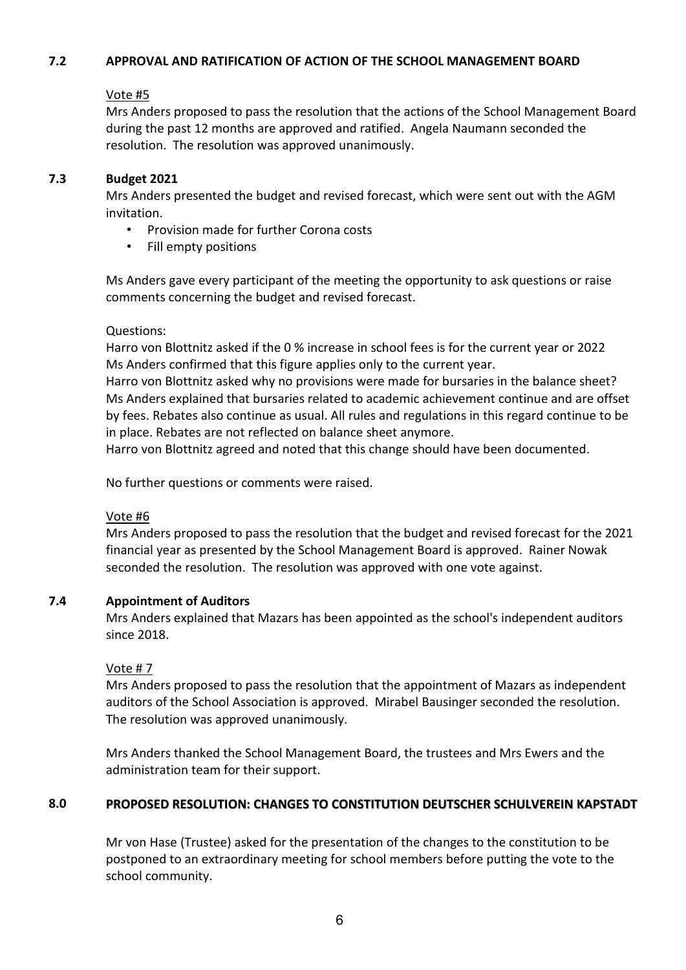#### **7.2 APPROVAL AND RATIFICATION OF ACTION OF THE SCHOOL MANAGEMENT BOARD**

# Vote #5

Mrs Anders proposed to pass the resolution that the actions of the School Management Board during the past 12 months are approved and ratified. Angela Naumann seconded the resolution. The resolution was approved unanimously.

### **7.3 Budget 2021**

Mrs Anders presented the budget and revised forecast, which were sent out with the AGM invitation.

- Provision made for further Corona costs
- Fill empty positions

Ms Anders gave every participant of the meeting the opportunity to ask questions or raise comments concerning the budget and revised forecast.

Questions:

Harro von Blottnitz asked if the 0 % increase in school fees is for the current year or 2022 Ms Anders confirmed that this figure applies only to the current year.

Harro von Blottnitz asked why no provisions were made for bursaries in the balance sheet? Ms Anders explained that bursaries related to academic achievement continue and are offset by fees. Rebates also continue as usual. All rules and regulations in this regard continue to be in place. Rebates are not reflected on balance sheet anymore.

Harro von Blottnitz agreed and noted that this change should have been documented.

No further questions or comments were raised.

### Vote #6

Mrs Anders proposed to pass the resolution that the budget and revised forecast for the 2021 financial year as presented by the School Management Board is approved. Rainer Nowak seconded the resolution. The resolution was approved with one vote against.

#### **7.4 Appointment of Auditors**

Mrs Anders explained that Mazars has been appointed as the school's independent auditors since 2018.

### Vote # 7

Mrs Anders proposed to pass the resolution that the appointment of Mazars as independent auditors of the School Association is approved. Mirabel Bausinger seconded the resolution. The resolution was approved unanimously.

Mrs Anders thanked the School Management Board, the trustees and Mrs Ewers and the administration team for their support.

### **8.0 PROPOSED RESOLUTION: CHANGES TO CONSTITUTION DEUTSCHER SCHULVEREIN KAPSTADT**

Mr von Hase (Trustee) asked for the presentation of the changes to the constitution to be postponed to an extraordinary meeting for school members before putting the vote to the school community.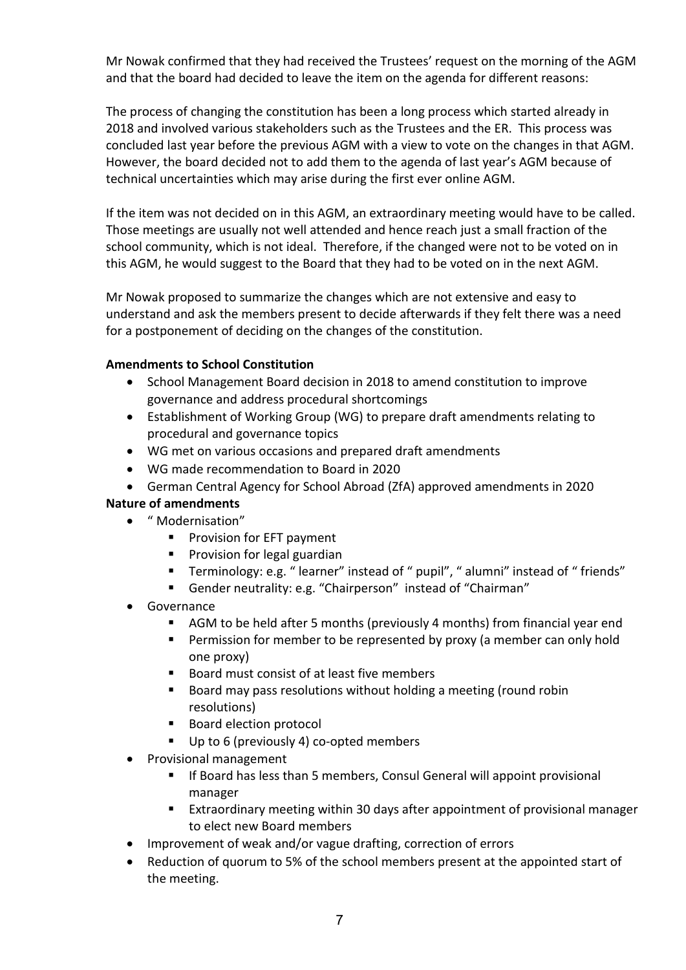Mr Nowak confirmed that they had received the Trustees' request on the morning of the AGM and that the board had decided to leave the item on the agenda for different reasons:

The process of changing the constitution has been a long process which started already in 2018 and involved various stakeholders such as the Trustees and the ER. This process was concluded last year before the previous AGM with a view to vote on the changes in that AGM. However, the board decided not to add them to the agenda of last year's AGM because of technical uncertainties which may arise during the first ever online AGM.

If the item was not decided on in this AGM, an extraordinary meeting would have to be called. Those meetings are usually not well attended and hence reach just a small fraction of the school community, which is not ideal. Therefore, if the changed were not to be voted on in this AGM, he would suggest to the Board that they had to be voted on in the next AGM.

Mr Nowak proposed to summarize the changes which are not extensive and easy to understand and ask the members present to decide afterwards if they felt there was a need for a postponement of deciding on the changes of the constitution.

# **Amendments to School Constitution**

- School Management Board decision in 2018 to amend constitution to improve governance and address procedural shortcomings
- Establishment of Working Group (WG) to prepare draft amendments relating to procedural and governance topics
- WG met on various occasions and prepared draft amendments
- WG made recommendation to Board in 2020
- German Central Agency for School Abroad (ZfA) approved amendments in 2020

# **Nature of amendments**

- " Modernisation"
	- **Provision for EFT payment**
	- **Provision for legal guardian**
	- Terminology: e.g. " learner" instead of " pupil", " alumni" instead of " friends"
	- Gender neutrality: e.g. "Chairperson" instead of "Chairman"
- **Governance** 
	- AGM to be held after 5 months (previously 4 months) from financial year end
	- Permission for member to be represented by proxy (a member can only hold one proxy)
	- Board must consist of at least five members
	- Board may pass resolutions without holding a meeting (round robin resolutions)
	- Board election protocol
	- Up to 6 (previously 4) co-opted members
- Provisional management
	- If Board has less than 5 members, Consul General will appoint provisional manager
	- Extraordinary meeting within 30 days after appointment of provisional manager to elect new Board members
- Improvement of weak and/or vague drafting, correction of errors
- Reduction of quorum to 5% of the school members present at the appointed start of the meeting.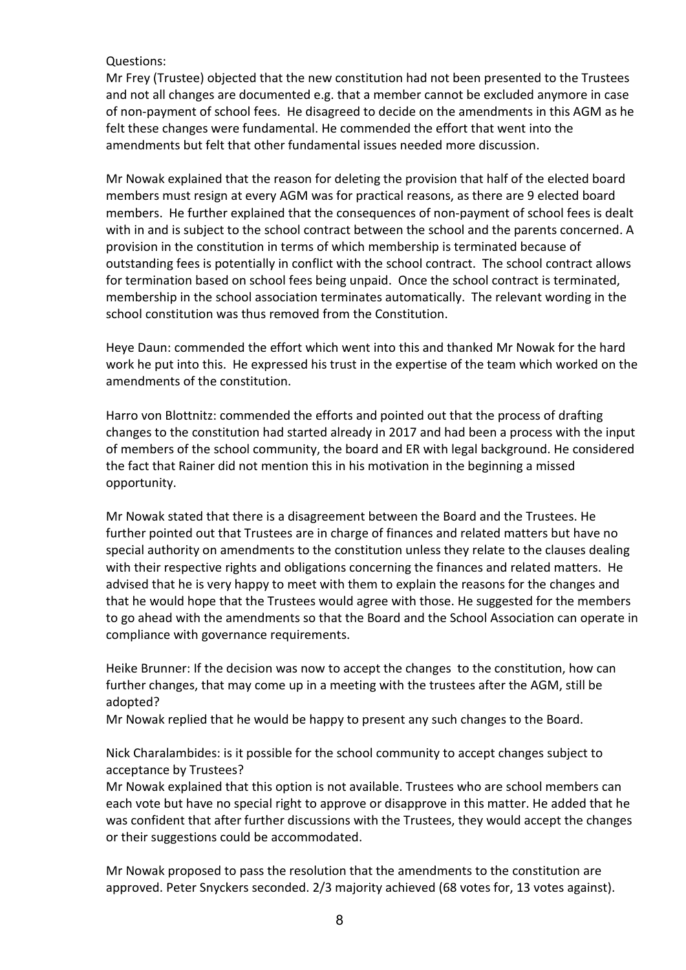## Questions:

Mr Frey (Trustee) objected that the new constitution had not been presented to the Trustees and not all changes are documented e.g. that a member cannot be excluded anymore in case of non-payment of school fees. He disagreed to decide on the amendments in this AGM as he felt these changes were fundamental. He commended the effort that went into the amendments but felt that other fundamental issues needed more discussion.

Mr Nowak explained that the reason for deleting the provision that half of the elected board members must resign at every AGM was for practical reasons, as there are 9 elected board members. He further explained that the consequences of non-payment of school fees is dealt with in and is subject to the school contract between the school and the parents concerned. A provision in the constitution in terms of which membership is terminated because of outstanding fees is potentially in conflict with the school contract. The school contract allows for termination based on school fees being unpaid. Once the school contract is terminated, membership in the school association terminates automatically. The relevant wording in the school constitution was thus removed from the Constitution.

Heye Daun: commended the effort which went into this and thanked Mr Nowak for the hard work he put into this. He expressed his trust in the expertise of the team which worked on the amendments of the constitution.

Harro von Blottnitz: commended the efforts and pointed out that the process of drafting changes to the constitution had started already in 2017 and had been a process with the input of members of the school community, the board and ER with legal background. He considered the fact that Rainer did not mention this in his motivation in the beginning a missed opportunity.

Mr Nowak stated that there is a disagreement between the Board and the Trustees. He further pointed out that Trustees are in charge of finances and related matters but have no special authority on amendments to the constitution unless they relate to the clauses dealing with their respective rights and obligations concerning the finances and related matters. He advised that he is very happy to meet with them to explain the reasons for the changes and that he would hope that the Trustees would agree with those. He suggested for the members to go ahead with the amendments so that the Board and the School Association can operate in compliance with governance requirements.

Heike Brunner: If the decision was now to accept the changes to the constitution, how can further changes, that may come up in a meeting with the trustees after the AGM, still be adopted?

Mr Nowak replied that he would be happy to present any such changes to the Board.

Nick Charalambides: is it possible for the school community to accept changes subject to acceptance by Trustees?

Mr Nowak explained that this option is not available. Trustees who are school members can each vote but have no special right to approve or disapprove in this matter. He added that he was confident that after further discussions with the Trustees, they would accept the changes or their suggestions could be accommodated.

Mr Nowak proposed to pass the resolution that the amendments to the constitution are approved. Peter Snyckers seconded. 2/3 majority achieved (68 votes for, 13 votes against).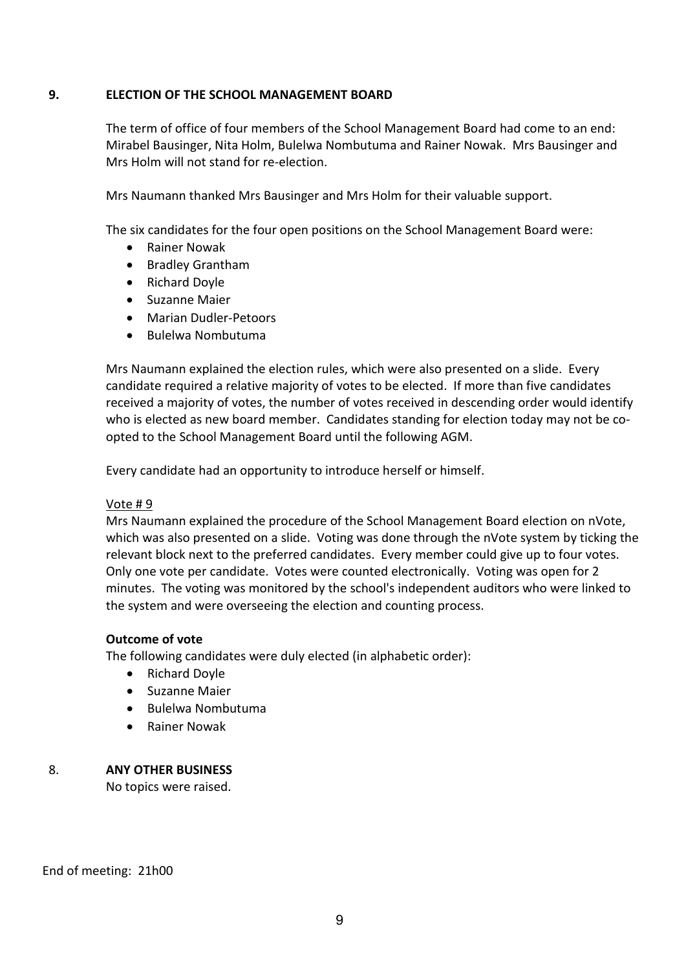## **9. ELECTION OF THE SCHOOL MANAGEMENT BOARD**

The term of office of four members of the School Management Board had come to an end: Mirabel Bausinger, Nita Holm, Bulelwa Nombutuma and Rainer Nowak. Mrs Bausinger and Mrs Holm will not stand for re-election.

Mrs Naumann thanked Mrs Bausinger and Mrs Holm for their valuable support.

The six candidates for the four open positions on the School Management Board were:

- Rainer Nowak
- Bradley Grantham
- Richard Doyle
- Suzanne Maier
- Marian Dudler-Petoors
- Bulelwa Nombutuma

Mrs Naumann explained the election rules, which were also presented on a slide. Every candidate required a relative majority of votes to be elected. If more than five candidates received a majority of votes, the number of votes received in descending order would identify who is elected as new board member. Candidates standing for election today may not be coopted to the School Management Board until the following AGM.

Every candidate had an opportunity to introduce herself or himself.

### Vote # 9

Mrs Naumann explained the procedure of the School Management Board election on nVote, which was also presented on a slide. Voting was done through the nVote system by ticking the relevant block next to the preferred candidates. Every member could give up to four votes. Only one vote per candidate. Votes were counted electronically. Voting was open for 2 minutes. The voting was monitored by the school's independent auditors who were linked to the system and were overseeing the election and counting process.

### **Outcome of vote**

The following candidates were duly elected (in alphabetic order):

- Richard Doyle
- Suzanne Maier
- Bulelwa Nombutuma
- Rainer Nowak

# 8. **ANY OTHER BUSINESS**

No topics were raised.

End of meeting: 21h00